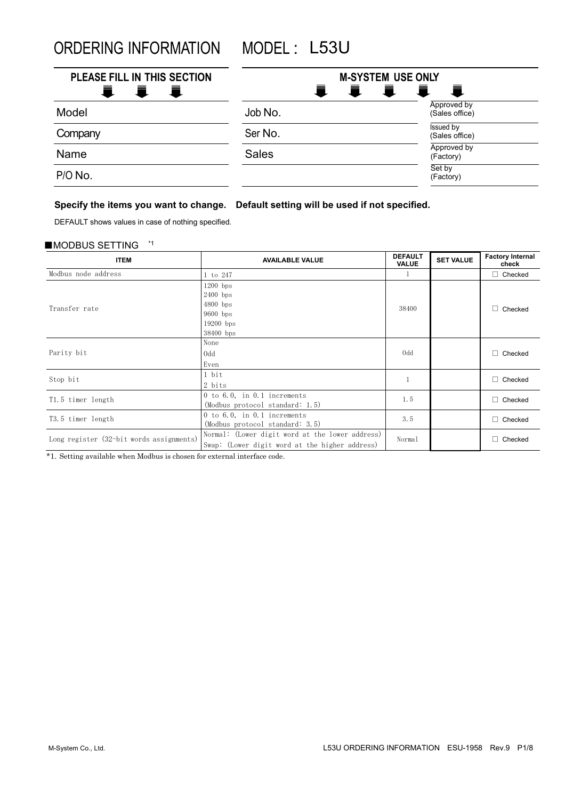ORDERING INFORMATION MODEL : L53U

| PLEASE FILL IN THIS SECTION<br>Ħ.<br>a material | Ξ.<br>Ē.     | <b>M-SYSTEM USE ONLY</b><br>真<br>青<br>一章 |
|-------------------------------------------------|--------------|------------------------------------------|
| Model                                           | Job No.      | Approved by<br>(Sales office)            |
| Company                                         | Ser No.      | <b>Issued by</b><br>(Sales office)       |
| Name                                            | <b>Sales</b> | Approved by<br>(Factory)                 |
| P/O No.                                         |              | Set by<br>(Factory)                      |

# **Specify the items you want to change. Default setting will be used if not specified.**

DEFAULT shows values in case of nothing specified.

## ■MODBUS SETTING \*1

| <b>ITEM</b>                              | <b>AVAILABLE VALUE</b>                                                                            | <b>DEFAULT</b><br><b>VALUE</b> | <b>SET VALUE</b> | <b>Factory Internal</b><br>check |
|------------------------------------------|---------------------------------------------------------------------------------------------------|--------------------------------|------------------|----------------------------------|
| Modbus node address                      | 1 to 247                                                                                          |                                |                  | $\Box$ Checked                   |
| Transfer rate                            | $1200$ bps<br>$2400$ bps<br>$4800$ bps<br>$9600$ bps<br>$19200$ bps<br>38400 bps                  | 38400                          |                  | $\Box$ Checked                   |
| Parity bit                               | None<br>0 <sub>dd</sub><br>Even                                                                   | 0dd                            |                  | $\Box$ Checked                   |
| Stop bit                                 | 1 bit<br>2 bits                                                                                   |                                |                  | $\Box$ Checked                   |
| T1.5 timer length                        | 0 to 6.0, in $0.1$ increments<br>(Modbus protocol standard: 1.5)                                  | 1.5                            |                  | $\Box$ Checked                   |
| T3.5 timer length                        | 0 to 6.0, in 0.1 increments<br>(Modbus protocol standard: 3.5)                                    | 3.5                            |                  | $\Box$ Checked                   |
| Long register (32-bit words assignments) | Normal: (Lower digit word at the lower address)<br>Swap: (Lower digit word at the higher address) | Normal                         |                  | $\Box$ Checked                   |

\*1. Setting available when Modbus is chosen for external interface code.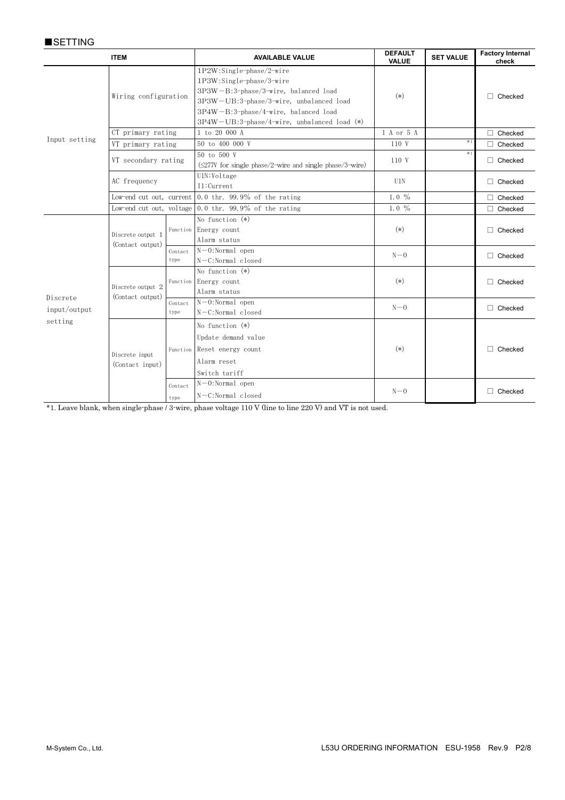# ■**SETTING**

|                                     | <b>ITEM</b>                       |                 | <b>AVAILABLE VALUE</b>                                                                                                                                                                                                                   | <b>DEFAULT</b><br><b>VALUE</b> | <b>SET VALUE</b> | <b>Factory Internal</b><br>check |
|-------------------------------------|-----------------------------------|-----------------|------------------------------------------------------------------------------------------------------------------------------------------------------------------------------------------------------------------------------------------|--------------------------------|------------------|----------------------------------|
|                                     | Wiring configuration              |                 | 1P2W:Single-phase/2-wire<br>$1P3W:Single-phase/3-wire$<br>$3P3W - B:3$ -phase/3-wire, balanced load<br>3P3W-UB:3-phase/3-wire, unbalanced load<br>3P4W-B:3-phase/4-wire, balanced load<br>$3P4W-UB:3-phase/4-wire$ , unbalanced load (*) | $(*)$                          |                  | $\Box$ Checked                   |
|                                     | CT primary rating                 |                 | 1 to 20 000 A                                                                                                                                                                                                                            | 1 A or 5 A                     |                  | Checked                          |
| Input setting                       | VT primary rating                 |                 | 50 to 400 000 V                                                                                                                                                                                                                          | 110 V                          | $*1$             | $\Box$ Checked                   |
|                                     | VT secondary rating               |                 | 50 to 500 V<br>$(\leq$ 277V for single phase/2-wire and single phase/3-wire)                                                                                                                                                             | 110 V                          | $*1$             | $\Box$ Checked                   |
|                                     | AC frequency                      |                 | U1N:Voltage<br>I1:Current                                                                                                                                                                                                                | U1N                            |                  | $\Box$ Checked                   |
|                                     |                                   |                 | Low-end cut out, current $0.0$ thr. 99.9% of the rating                                                                                                                                                                                  | $1.0\%$                        |                  | Checked                          |
|                                     |                                   |                 | Low-end cut out, voltage $0.0$ thr. 99.9% of the rating                                                                                                                                                                                  | 1.0 $%$                        |                  | Checked                          |
|                                     | Discrete output 1                 |                 | No function $(*)$<br>Function Energy count<br>Alarm status                                                                                                                                                                               | $(*)$                          |                  | $\Box$ Checked                   |
|                                     | (Contact output)                  | Contact<br>type | $N-0:Normal$ open<br>N-C:Normal closed                                                                                                                                                                                                   | $N-0$                          |                  | $\Box$ Checked                   |
|                                     | Discrete output 2                 |                 | No function $(*)$<br>Function Energy count<br>Alarm status                                                                                                                                                                               | $(*)$                          |                  | $\Box$ Checked                   |
| Discrete<br>input/output<br>setting | (Contact output)                  | Contact<br>type | $N-0:Normal$ open<br>N-C:Normal closed                                                                                                                                                                                                   | $N-0$                          |                  | $\Box$ Checked                   |
|                                     | Discrete input<br>(Contact input) |                 | No function $(*)$<br>Update demand value<br>Function Reset energy count<br>Alarm reset<br>Switch tariff                                                                                                                                  | $(*)$                          |                  | Checked                          |
|                                     |                                   | Contact<br>type | $N-0:Normal$ open<br>N-C:Normal closed                                                                                                                                                                                                   | $N-0$                          |                  | $\Box$ Checked                   |

\*1. Leave blank, when single-phase / 3-wire, phase voltage 110 V (line to line 220 V) and VT is not used.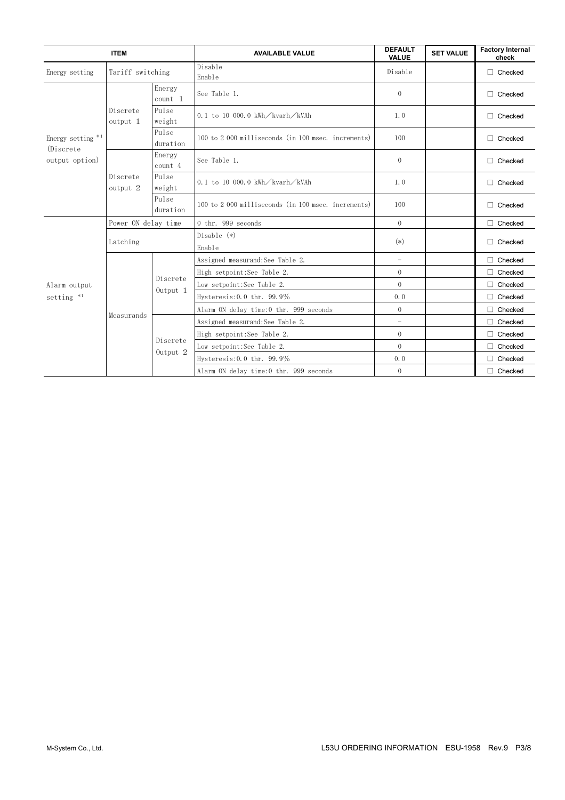| <b>ITEM</b>                     |                      |                     | <b>AVAILABLE VALUE</b>                                | <b>DEFAULT</b><br><b>VALUE</b> | <b>SET VALUE</b> | <b>Factory Internal</b><br>check |
|---------------------------------|----------------------|---------------------|-------------------------------------------------------|--------------------------------|------------------|----------------------------------|
| Energy setting                  | Tariff switching     |                     | Disable<br>Enable                                     | Disable                        |                  | $\Box$ Checked                   |
| Energy setting *1<br>(Discrete) |                      | Energy<br>$count$ 1 | See Table 1.                                          | $\theta$                       |                  | $\Box$ Checked                   |
|                                 | Discrete<br>output 1 | Pulse<br>weight     | 0.1 to 10 000.0 kWh $\sqrt{\text{kvarh}/\text{kVAh}}$ | 1.0                            |                  | $\Box$ Checked                   |
|                                 |                      | Pulse<br>duration   | 100 to 2 000 milliseconds (in 100 msec. increments)   | 100                            |                  | $\Box$ Checked                   |
| output option)                  |                      | Energy<br>count 4   | See Table 1.                                          | $\theta$                       |                  | $\Box$ Checked                   |
|                                 | Discrete<br>output 2 | Pulse<br>weight     | 0.1 to 10 000.0 kWh/kvarh/kVAh                        | 1.0                            |                  | $\Box$ Checked                   |
|                                 |                      | Pulse<br>duration   | 100 to 2 000 milliseconds (in 100 msec. increments)   | 100                            |                  | $\Box$ Checked                   |
|                                 | Power ON delay time  |                     | 0 thr. 999 seconds                                    | $\overline{0}$                 |                  | $\Box$ Checked                   |
|                                 | Latching             |                     | Disable $(*)$<br>Enable                               | $(*)$                          |                  | $\Box$ Checked                   |
|                                 |                      | Discrete            | Assigned measurand: See Table 2.                      | $\equiv$                       |                  | Checked<br>п                     |
|                                 |                      |                     | High setpoint: See Table 2.                           | $\overline{0}$                 |                  | Checked                          |
| Alarm output                    |                      |                     | Low setpoint: See Table 2.                            | $\Omega$                       |                  | Checked                          |
| setting $*1$                    |                      | Output 1            | Hysteresis: $0.0$ thr. 99.9%                          | 0.0                            |                  | $\Box$ Checked                   |
|                                 | Measurands           |                     | Alarm ON delay time:0 thr. 999 seconds                | $\mathbf{0}$                   |                  | п<br>Checked                     |
|                                 |                      |                     | Assigned measurand: See Table 2.                      | $\equiv$                       |                  | Checked<br>П                     |
|                                 |                      | Discrete            | High setpoint: See Table 2.                           | $\overline{0}$                 |                  | Checked                          |
|                                 |                      | Output 2            | Low setpoint: See Table 2.                            | $\theta$                       |                  | П<br>Checked                     |
|                                 |                      |                     | Hysteresis: $0.0$ thr. 99.9%                          | 0.0                            |                  | $\Box$ Checked                   |
|                                 |                      |                     | Alarm ON delay time:0 thr. 999 seconds                | $\theta$                       |                  | $\Box$ Checked                   |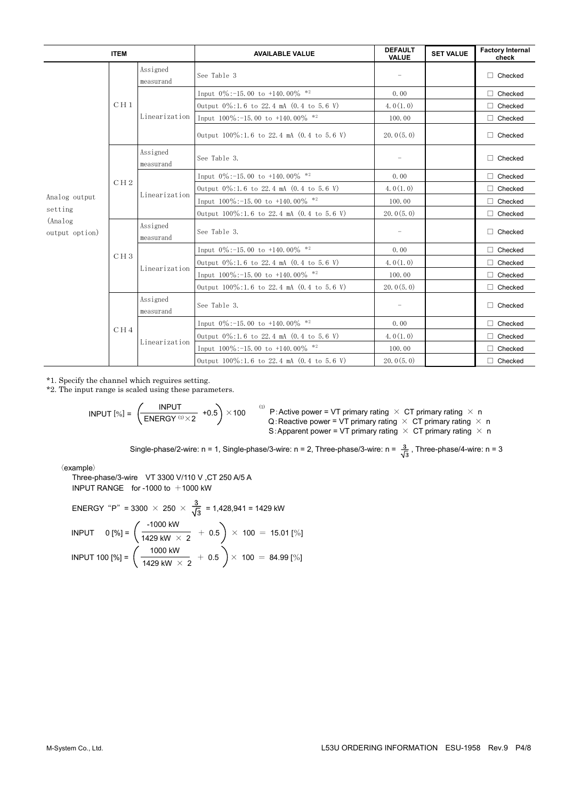|                            | <b>ITEM</b>     |                       | <b>AVAILABLE VALUE</b>                        | <b>DEFAULT</b><br><b>VALUE</b> | <b>SET VALUE</b> | <b>Factory Internal</b><br>check |
|----------------------------|-----------------|-----------------------|-----------------------------------------------|--------------------------------|------------------|----------------------------------|
|                            |                 | Assigned<br>measurand | See Table 3                                   |                                |                  | Checked                          |
|                            |                 |                       | Input $0\%$ : -15.00 to +140.00% *2           | 0.00                           |                  | Checked                          |
|                            | CH1             |                       | Output 0%:1.6 to 22.4 mA (0.4 to 5.6 V)       | 4.0(1.0)                       |                  | Checked                          |
|                            |                 | Linearization         | Input $100\%$ : -15.00 to +140.00% *2         | 100.00                         |                  | Checked                          |
|                            |                 |                       | Output 100%:1.6 to 22.4 mA (0.4 to 5.6 V)     | 20.0(5.0)                      |                  | $\Box$ Checked                   |
|                            |                 | Assigned<br>measurand | See Table 3.                                  |                                |                  | Checked                          |
|                            |                 | Linearization         | Input $0\%$ : -15.00 to +140.00% *2           | 0.00                           |                  | Checked                          |
|                            | CH2             |                       | Output 0%:1.6 to 22.4 mA (0.4 to 5.6 V)       | 4.0(1.0)                       |                  | Checked                          |
| Analog output              |                 |                       | Input $100\%$ : -15.00 to +140.00% *2         | 100.00                         |                  | Checked                          |
| setting                    |                 |                       | Output 100%:1.6 to 22.4 mA (0.4 to 5.6 V)     | 20.0(5.0)                      |                  | Checked                          |
| (Analog)<br>output option) |                 | Assigned<br>measurand | See Table 3.                                  |                                |                  | Checked                          |
|                            |                 | Linearization         | Input $0\%$ : -15.00 to +140.00% *2           | 0.00                           |                  | Checked                          |
|                            | CH <sub>3</sub> |                       | Output 0%:1.6 to 22.4 mA (0.4 to 5.6 V)       | 4.0(1, 0)                      |                  | Checked                          |
|                            |                 |                       | Input $100\%$ : -15.00 to +140.00% *2         | 100.00                         |                  | Checked                          |
|                            |                 |                       | Output 100%:1.6 to 22.4 mA (0.4 to 5.6 V)     | 20.0(5.0)                      |                  | Checked                          |
|                            |                 | Assigned<br>measurand | See Table 3.                                  |                                |                  | Checked                          |
|                            |                 |                       | Input $0\%$ : -15.00 to +140.00% *2           | 0.00                           |                  | Checked                          |
|                            | CH <sub>4</sub> | Linearization         | Output $0\%$ :1.6 to 22.4 mA $(0.4$ to 5.6 V) | 4.0(1.0)                       |                  | Checked                          |
|                            |                 |                       | Input $100\%$ : -15.00 to +140.00% *2         | 100.00                         |                  | Checked                          |
|                            |                 |                       | Output 100%:1.6 to 22.4 mA (0.4 to 5.6 V)     | 20.0(5.0)                      |                  | $\Box$ Checked                   |

\*1. Specify the channel which reguires setting.

\*2. The input range is scaled using these parameters.

$$
INPUT [\%] = \left(\begin{array}{cc} INPUT \\ \hline ENERGY^{(1)} \times 2 & +0.5 \end{array}\right) \times 100
$$
  
100  
100  
110  
121. Reactive power = VT primary rating × CT primary rating × n  
15: Apparent power = VT primary rating × CT primary rating × n  
191.

Single-phase/2-wire: n = 1, Single-phase/3-wire: n = 2, Three-phase/3-wire: n =  $\frac{3}{\sqrt{3}}$ , Three-phase/4-wire: n = 3

〈example〉

Three-phase/3-wire VT 3300 V/110 V ,CT 250 A/5 A INPUT RANGE for -1000 to  $+1000$  kW

ENERGY "P" = 3300 × 250 × 
$$
\frac{3}{\sqrt{3}}
$$
 = 1,428,941 = 1429 kW

\nINPUT 0 [%] =  $\left(\frac{-1000 \text{ kW}}{1429 \text{ kW} \times 2} + 0.5\right) \times 100 = 15.01$  [%]

\nINPUT 100 [%] =  $\left(\frac{1000 \text{ kW}}{1429 \text{ kW} \times 2} + 0.5\right) \times 100 = 84.99$  [%]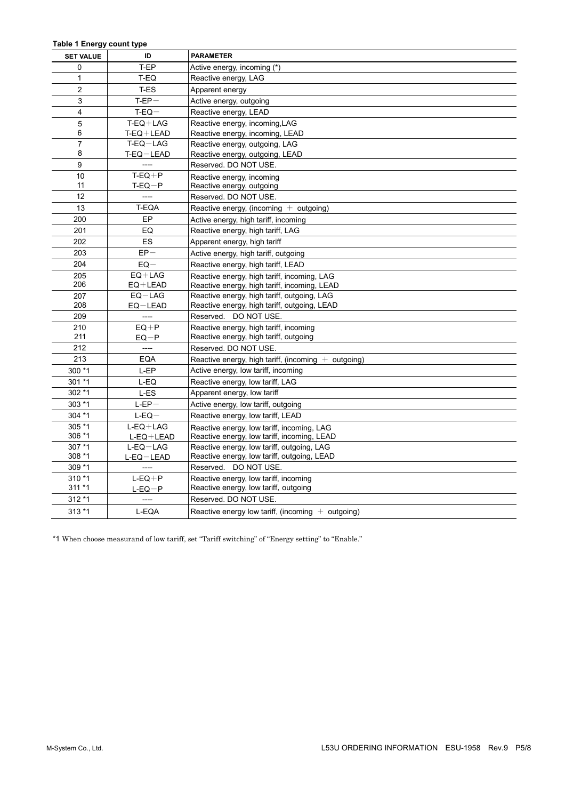#### **Table 1 Energy count type**

| <b>SET VALUE</b> | ID              | <b>PARAMETER</b>                                      |
|------------------|-----------------|-------------------------------------------------------|
| 0                | T-EP            | Active energy, incoming (*)                           |
| 1                | T-EQ            | Reactive energy, LAG                                  |
| $\overline{2}$   | T-ES            | Apparent energy                                       |
| 3                | $T-EP-$         | Active energy, outgoing                               |
| $\overline{4}$   | $T-EQ-$         | Reactive energy, LEAD                                 |
| 5                | $T-EO+LAG$      | Reactive energy, incoming, LAG                        |
| 6                | $T-EQ+LEAD$     | Reactive energy, incoming, LEAD                       |
| $\overline{7}$   | $T-EQ-LAG$      | Reactive energy, outgoing, LAG                        |
| 8                | T-EQ-LEAD       | Reactive energy, outgoing, LEAD                       |
| 9                |                 | Reserved, DO NOT USE.                                 |
| 10               | $T-EQ+P$        | Reactive energy, incoming                             |
| 11               | $T-EQ-P$        | Reactive energy, outgoing                             |
| 12               | ----            | Reserved. DO NOT USE.                                 |
| 13               | T-EQA           | Reactive energy, (incoming $+$ outgoing)              |
| 200              | EP              | Active energy, high tariff, incoming                  |
| 201              | EQ              | Reactive energy, high tariff, LAG                     |
| 202              | <b>ES</b>       | Apparent energy, high tariff                          |
| 203              | $EP-$           | Active energy, high tariff, outgoing                  |
| 204              | $EQ -$          | Reactive energy, high tariff, LEAD                    |
| 205              | $EQ+LAG$        | Reactive energy, high tariff, incoming, LAG           |
| 206              | $EQ+LEAD$       | Reactive energy, high tariff, incoming, LEAD          |
| 207              | $EQ-LAG$        | Reactive energy, high tariff, outgoing, LAG           |
| 208              | $EQ-LEAD$       | Reactive energy, high tariff, outgoing, LEAD          |
| 209              | ----            | Reserved. DO NOT USE.                                 |
| 210              | $EQ+P$          | Reactive energy, high tariff, incoming                |
| 211              | $EQ-P$          | Reactive energy, high tariff, outgoing                |
| 212              | ----            | Reserved, DO NOT USE.                                 |
| 213              | <b>EQA</b>      | Reactive energy, high tariff, (incoming $+$ outgoing) |
| 300 *1           | L-EP            | Active energy, low tariff, incoming                   |
| $301 * 1$        | L-EQ            | Reactive energy, low tariff, LAG                      |
| $302 * 1$        | L-ES            | Apparent energy, low tariff                           |
| $303*1$          | $L-EP-$         | Active energy, low tariff, outgoing                   |
| $304 *1$         | $L-EQ-$         | Reactive energy, low tariff, LEAD                     |
| 305 *1           | $L-EO+LAG$      | Reactive energy, low tariff, incoming, LAG            |
| 306 *1           | $L-EQ+LEAD$     | Reactive energy, low tariff, incoming, LEAD           |
| 307 *1           | $L$ -EQ $-$ LAG | Reactive energy, low tariff, outgoing, LAG            |
| $308*1$          | L-EQ-LEAD       | Reactive energy, low tariff, outgoing, LEAD           |
| 309 *1           | ----            | Reserved. DO NOT USE.                                 |
| $310 * 1$        | $L-EO + P$      | Reactive energy, low tariff, incoming                 |
| $311 * 1$        | $L-EQ-P$        | Reactive energy, low tariff, outgoing                 |
| 312 *1           | ----            | Reserved. DO NOT USE.                                 |
| $313*1$          | L-EQA           | Reactive energy low tariff, (incoming $+$ outgoing)   |

\*1 When choose measurand of low tariff, set "Tariff switching" of "Energy setting" to "Enable."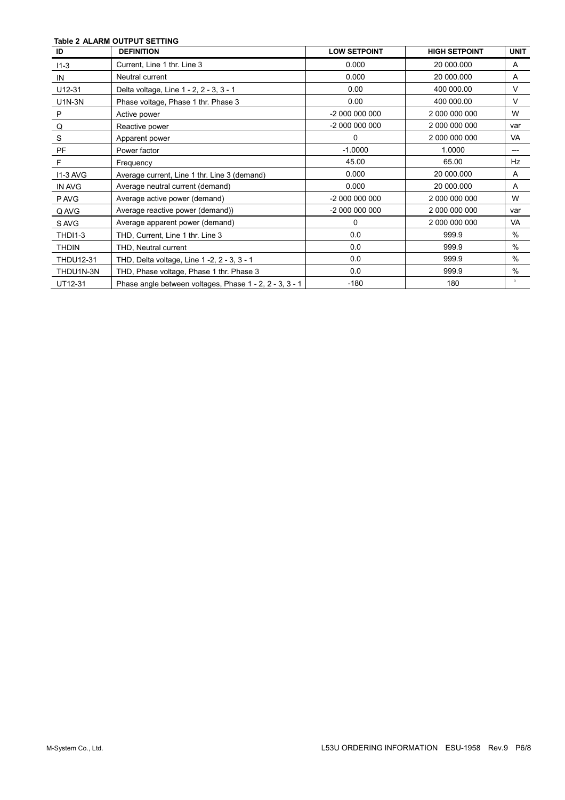### **Table 2 ALARM OUTPUT SETTING**

| ID               | <b>DEFINITION</b>                                       | <b>LOW SETPOINT</b> | <b>HIGH SETPOINT</b> | <b>UNIT</b> |
|------------------|---------------------------------------------------------|---------------------|----------------------|-------------|
| $11 - 3$         | Current, Line 1 thr. Line 3                             | 0.000               | 20 000.000           | A           |
| IN               | Neutral current                                         | 0.000               | 20 000.000           | A           |
| U12-31           | Delta voltage, Line 1 - 2, 2 - 3, 3 - 1                 | 0.00                | 400 000.00           | V           |
| <b>U1N-3N</b>    | Phase voltage, Phase 1 thr. Phase 3                     | 0.00                | 400 000.00           | V           |
| $\mathsf{P}$     | Active power                                            | -2 000 000 000      | 2 000 000 000        | W           |
| Q                | Reactive power                                          | -2 000 000 000      | 2 000 000 000        | var         |
| S                | Apparent power                                          | $\Omega$            | 2 000 000 000        | VA          |
| PF               | Power factor                                            | $-1.0000$           | 1.0000               | ---         |
| $\mathsf{F}$     | Frequency                                               | 45.00               | 65.00                | Hz          |
| <b>I1-3 AVG</b>  | Average current, Line 1 thr. Line 3 (demand)            | 0.000               | 20 000.000           | A           |
| IN AVG           | Average neutral current (demand)                        | 0.000               | 20 000.000           | A           |
| P AVG            | Average active power (demand)                           | -2 000 000 000      | 2 000 000 000        | W           |
| Q AVG            | Average reactive power (demand))                        | -2 000 000 000      | 2 000 000 000        | var         |
| S AVG            | Average apparent power (demand)                         | 0                   | 2 000 000 000        | VA          |
| <b>THDI1-3</b>   | THD, Current, Line 1 thr. Line 3                        | 0.0                 | 999.9                | $\%$        |
| <b>THDIN</b>     | THD, Neutral current                                    | 0.0                 | 999.9                | $\%$        |
| <b>THDU12-31</b> | THD, Delta voltage, Line 1 -2, 2 - 3, 3 - 1             | 0.0                 | 999.9                | $\%$        |
| THDU1N-3N        | THD, Phase voltage, Phase 1 thr. Phase 3                | 0.0                 | 999.9                | $\%$        |
| UT12-31          | Phase angle between voltages, Phase 1 - 2, 2 - 3, 3 - 1 | $-180$              | 180                  | $\circ$     |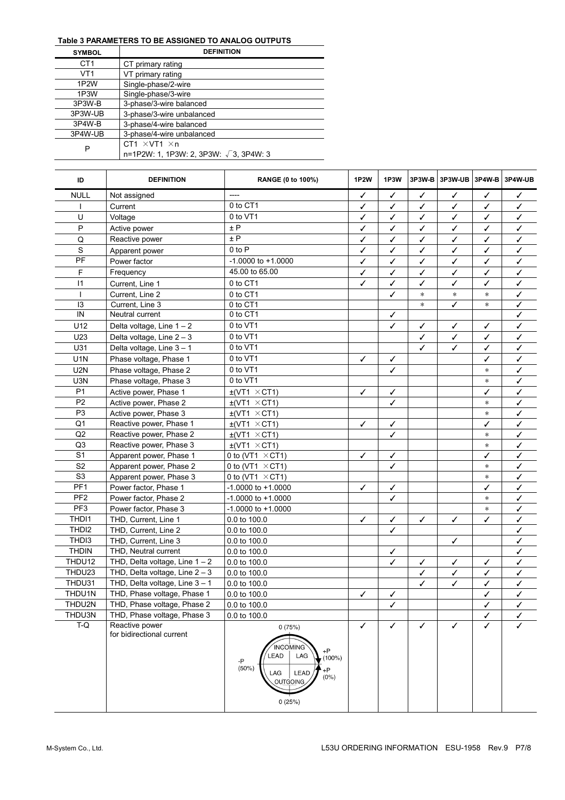# **Table 3 PARAMETERS TO BE ASSIGNED TO ANALOG OUTPUTS**

| <b>SYMBOL</b>     | <b>DEFINITION</b>                              |
|-------------------|------------------------------------------------|
| CT1               | CT primary rating                              |
| VT1               | VT primary rating                              |
| 1P <sub>2</sub> W | Single-phase/2-wire                            |
| 1P3W              | Single-phase/3-wire                            |
| 3P3W-B            | 3-phase/3-wire balanced                        |
| 3P3W-UB           | 3-phase/3-wire unbalanced                      |
| 3P4W-B            | 3-phase/4-wire balanced                        |
| 3P4W-UB           | 3-phase/4-wire unbalanced                      |
| P                 | CT1 $\times$ VT1 $\times$ n                    |
|                   | n=1P2W: 1, 1P3W: 2, 3P3W: $\sqrt{3}$ , 3P4W: 3 |

| ID                | <b>DEFINITION</b>                           | <b>RANGE (0 to 100%)</b>                                                                                                             | <b>1P2W</b> | 1P3W         | 3P3W-B | 3P3W-UB 3P4W-B |        | 3P4W-UB      |
|-------------------|---------------------------------------------|--------------------------------------------------------------------------------------------------------------------------------------|-------------|--------------|--------|----------------|--------|--------------|
| <b>NULL</b>       | Not assigned                                | $---$                                                                                                                                | ✓           | ✓            | ✓      | ✓              | ✓      | ✓            |
|                   | Current                                     | 0 to CT1                                                                                                                             | ✓           | ✓            | ✓      | ✓              | ✓      | ✓            |
| U                 | Voltage                                     | 0 to VT1                                                                                                                             | ✓           | ✓            | ✓      | ✓              | ✓      | ✓            |
| P                 | Active power                                | ± P                                                                                                                                  | ✓           | ✓            | ✓      | ✓              | ✓      | ✓            |
| Q                 | Reactive power                              | ± P                                                                                                                                  | ✓           | ✓            | ✓      | ✓              | ✓      | ✓            |
| S                 | Apparent power                              | $0$ to $P$                                                                                                                           | ✓           | ✓            | ✓      | ✓              | ✓      | ✓            |
| PF                | Power factor                                | $-1.0000$ to $+1.0000$                                                                                                               | ✓           | ✓            | ✓      | ✓              | ✓      | ✓            |
| F                 | Frequency                                   | 45.00 to 65.00                                                                                                                       | ✓           | ✓            | ✓      | ✓              | ✓      | ✓            |
| 1                 | Current, Line 1                             | 0 to CT1                                                                                                                             | ✓           | ✓            | ✓      | ✓              | ✓      | ✓            |
|                   | Current. Line 2                             | 0 to CT1                                                                                                                             |             | ✓            | $\ast$ | $\ast$         | $\ast$ | ✓            |
| 13                | Current, Line 3                             | 0 to CT1                                                                                                                             |             |              | $\ast$ | ✓              | $\ast$ |              |
| IN                | Neutral current                             | 0 to CT1                                                                                                                             |             | ✓            |        |                |        | ✓            |
| U12               | Delta voltage, Line $1 - 2$                 | 0 to VT1                                                                                                                             |             | ✓            | ✓      | ✓              | ✓      | ✓            |
| U23               | Delta voltage, Line $2 - 3$                 | 0 to VT1                                                                                                                             |             |              | ✓      | ✓              | ✓      | ✓            |
| U31               | Delta voltage, Line 3 - 1                   | 0 to VT1                                                                                                                             |             |              |        | ✓              | ✓      | ✓            |
| U <sub>1</sub> N  | Phase voltage, Phase 1                      | 0 to VT1                                                                                                                             | ✓           | ✓            |        |                | ✓      | ✓            |
| U2N               | Phase voltage, Phase 2                      | 0 to VT1                                                                                                                             |             | ✓            |        |                | $\ast$ | ✓            |
| U3N               | Phase voltage, Phase 3                      | 0 to VT1                                                                                                                             |             |              |        |                | $\ast$ | ✓            |
| P <sub>1</sub>    | Active power, Phase 1                       | $\pm$ (VT1 $\times$ CT1)                                                                                                             | ✓           | ✓            |        |                | ✓      | ✓            |
| P <sub>2</sub>    | Active power, Phase 2                       | $\pm$ (VT1 $\times$ CT1)                                                                                                             |             | ✓            |        |                | $\ast$ | ✓            |
| P <sub>3</sub>    | Active power, Phase 3                       | $\pm$ (VT1 $\times$ CT1)                                                                                                             |             |              |        |                | $\ast$ | ✓            |
| Q1                | Reactive power, Phase 1                     | $\pm$ (VT1 $\times$ CT1)                                                                                                             | ✓           | ✓            |        |                | ✓      | ✓            |
| Q2                | Reactive power, Phase 2                     | $\pm$ (VT1 $\times$ CT1)                                                                                                             |             | ✓            |        |                | $\ast$ | ✓            |
| Q <sub>3</sub>    | Reactive power, Phase 3                     | $\pm$ (VT1 $\times$ CT1)                                                                                                             |             |              |        |                | $\ast$ | ✓            |
| S <sub>1</sub>    | Apparent power, Phase 1                     | 0 to (VT1 $\times$ CT1)                                                                                                              | ✓           | ✓            |        |                | ✓      | ✓            |
| S <sub>2</sub>    | Apparent power, Phase 2                     | 0 to (VT1 $\times$ CT1)                                                                                                              |             | ✓            |        |                | $\ast$ | ✓            |
| S <sub>3</sub>    | Apparent power, Phase 3                     | 0 to (VT1 $\times$ CT1)                                                                                                              |             |              |        |                | $\ast$ | ✓            |
| PF <sub>1</sub>   | Power factor, Phase 1                       | $-1.0000$ to $+1.0000$                                                                                                               | ✓           | ✓            |        |                | ✓      | ✓            |
| PF <sub>2</sub>   | Power factor, Phase 2                       | $-1.0000$ to $+1.0000$                                                                                                               |             | ✓            |        |                | *      | ✓            |
| PF <sub>3</sub>   | Power factor, Phase 3                       | $-1.0000$ to $+1.0000$                                                                                                               |             |              |        |                | $\ast$ | ✓            |
| THD11             | THD, Current, Line 1                        | 0.0 to 100.0                                                                                                                         | ✓           | ✓            | ✓      | ✓              | ✓      | $\checkmark$ |
| THDI2             | THD, Current, Line 2                        | 0.0 to 100.0                                                                                                                         |             | J            |        |                |        | ✓            |
| THD <sub>13</sub> | THD, Current, Line 3                        | 0.0 to 100.0                                                                                                                         |             |              |        | $\checkmark$   |        | ✓            |
| <b>THDIN</b>      | THD, Neutral current                        | 0.0 to 100.0                                                                                                                         |             | ✓            |        |                |        | ✓            |
| THDU12            | THD, Delta voltage, Line $1 - 2$            | 0.0 to 100.0                                                                                                                         |             | ✓            | ✓      | ✓              | ✓      | ✓            |
| THDU23            | THD, Delta voltage, Line $2 - 3$            | 0.0 to 100.0                                                                                                                         |             |              | ✓      | ✓              | ✓      | ✓            |
| THDU31            | THD, Delta voltage, Line $3 - 1$            | 0.0 to 100.0                                                                                                                         |             |              | ✓      | ✓              | ✓      | ✓            |
| THDU1N            | THD, Phase voltage, Phase 1                 | 0.0 to 100.0                                                                                                                         | ✓           | ✓            |        |                | ✓      | ✓            |
| THDU2N            | THD, Phase voltage, Phase 2                 | 0.0 to 100.0                                                                                                                         |             | ✓            |        |                | ✓      | ✓            |
| THDU3N            | THD, Phase voltage, Phase 3                 | 0.0 to 100.0                                                                                                                         |             |              |        |                | ✓      |              |
| $T-Q$             | Reactive power<br>for bidirectional current | 0(75%)<br><b>INCOMING</b><br>$+P$<br>LEAD<br>LAG<br>$(100\%)$<br>-P<br>(50%)<br>$+P$<br>LAG<br>LEAD<br>$(0\%)$<br>OUTGOING<br>0(25%) | ✓           | $\checkmark$ | ✓      | $\checkmark$   | ✓      |              |